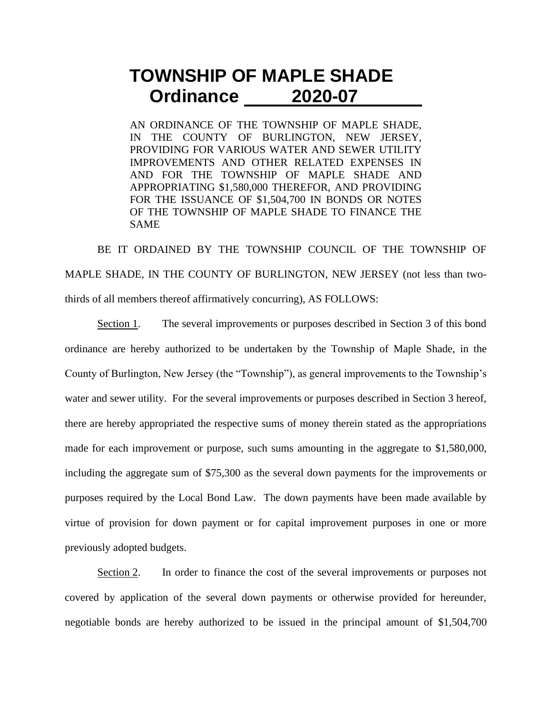## **TOWNSHIP OF MAPLE SHADE Ordinance 2020-07**

AN ORDINANCE OF THE TOWNSHIP OF MAPLE SHADE, IN THE COUNTY OF BURLINGTON, NEW JERSEY, PROVIDING FOR VARIOUS WATER AND SEWER UTILITY IMPROVEMENTS AND OTHER RELATED EXPENSES IN AND FOR THE TOWNSHIP OF MAPLE SHADE AND APPROPRIATING \$1,580,000 THEREFOR, AND PROVIDING FOR THE ISSUANCE OF \$1,504,700 IN BONDS OR NOTES OF THE TOWNSHIP OF MAPLE SHADE TO FINANCE THE SAME

BE IT ORDAINED BY THE TOWNSHIP COUNCIL OF THE TOWNSHIP OF MAPLE SHADE, IN THE COUNTY OF BURLINGTON, NEW JERSEY (not less than twothirds of all members thereof affirmatively concurring), AS FOLLOWS:

Section 1. The several improvements or purposes described in Section 3 of this bond ordinance are hereby authorized to be undertaken by the Township of Maple Shade, in the County of Burlington, New Jersey (the "Township"), as general improvements to the Township's water and sewer utility. For the several improvements or purposes described in Section 3 hereof, there are hereby appropriated the respective sums of money therein stated as the appropriations made for each improvement or purpose, such sums amounting in the aggregate to \$1,580,000, including the aggregate sum of \$75,300 as the several down payments for the improvements or purposes required by the Local Bond Law. The down payments have been made available by virtue of provision for down payment or for capital improvement purposes in one or more previously adopted budgets.

Section 2. In order to finance the cost of the several improvements or purposes not covered by application of the several down payments or otherwise provided for hereunder, negotiable bonds are hereby authorized to be issued in the principal amount of \$1,504,700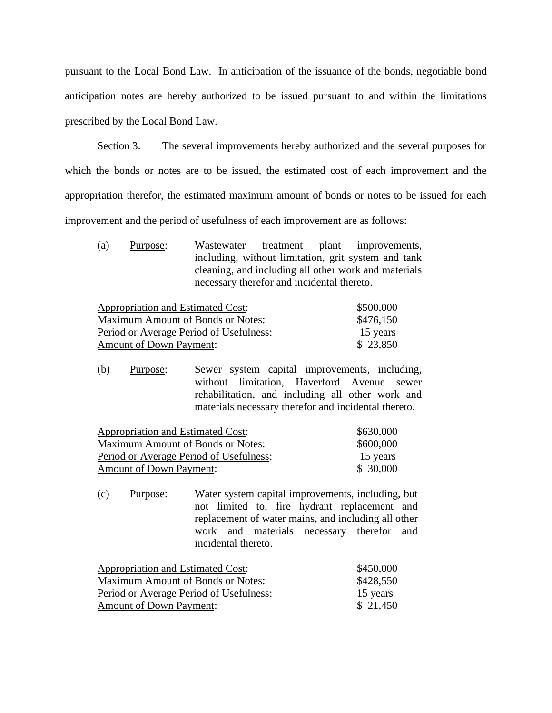pursuant to the Local Bond Law. In anticipation of the issuance of the bonds, negotiable bond anticipation notes are hereby authorized to be issued pursuant to and within the limitations prescribed by the Local Bond Law.

Section 3. The several improvements hereby authorized and the several purposes for which the bonds or notes are to be issued, the estimated cost of each improvement and the appropriation therefor, the estimated maximum amount of bonds or notes to be issued for each improvement and the period of usefulness of each improvement are as follows:

(a) Purpose: Wastewater treatment plant improvements, including, without limitation, grit system and tank cleaning, and including all other work and materials necessary therefor and incidental thereto.

| Appropriation and Estimated Cost:        | \$500,000 |
|------------------------------------------|-----------|
| <b>Maximum Amount of Bonds or Notes:</b> | \$476,150 |
| Period or Average Period of Usefulness:  | 15 years  |
| <b>Amount of Down Payment:</b>           | \$23,850  |

(b) Purpose: Sewer system capital improvements, including, without limitation, Haverford Avenue sewer rehabilitation, and including all other work and materials necessary therefor and incidental thereto.

| Appropriation and Estimated Cost:       | \$630,000 |
|-----------------------------------------|-----------|
| Maximum Amount of Bonds or Notes:       | \$600,000 |
| Period or Average Period of Usefulness: | 15 years  |
| <b>Amount of Down Payment:</b>          | \$30,000  |

(c) Purpose: Water system capital improvements, including, but not limited to, fire hydrant replacement and replacement of water mains, and including all other work and materials necessary therefor and incidental thereto.

| Appropriation and Estimated Cost:        | \$450,000 |
|------------------------------------------|-----------|
| <b>Maximum Amount of Bonds or Notes:</b> | \$428,550 |
| Period or Average Period of Usefulness:  | 15 years  |
| <b>Amount of Down Payment:</b>           | \$21,450  |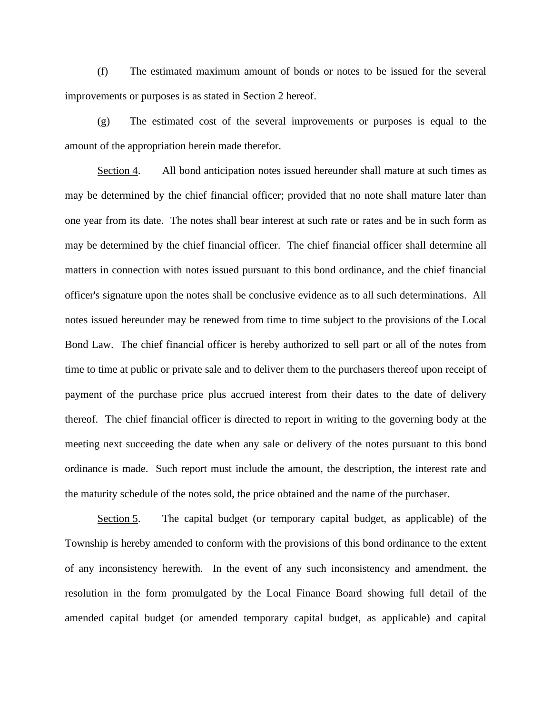(f) The estimated maximum amount of bonds or notes to be issued for the several improvements or purposes is as stated in Section 2 hereof.

(g) The estimated cost of the several improvements or purposes is equal to the amount of the appropriation herein made therefor.

Section 4. All bond anticipation notes issued hereunder shall mature at such times as may be determined by the chief financial officer; provided that no note shall mature later than one year from its date. The notes shall bear interest at such rate or rates and be in such form as may be determined by the chief financial officer. The chief financial officer shall determine all matters in connection with notes issued pursuant to this bond ordinance, and the chief financial officer's signature upon the notes shall be conclusive evidence as to all such determinations. All notes issued hereunder may be renewed from time to time subject to the provisions of the Local Bond Law. The chief financial officer is hereby authorized to sell part or all of the notes from time to time at public or private sale and to deliver them to the purchasers thereof upon receipt of payment of the purchase price plus accrued interest from their dates to the date of delivery thereof. The chief financial officer is directed to report in writing to the governing body at the meeting next succeeding the date when any sale or delivery of the notes pursuant to this bond ordinance is made. Such report must include the amount, the description, the interest rate and the maturity schedule of the notes sold, the price obtained and the name of the purchaser.

Section 5. The capital budget (or temporary capital budget, as applicable) of the Township is hereby amended to conform with the provisions of this bond ordinance to the extent of any inconsistency herewith. In the event of any such inconsistency and amendment, the resolution in the form promulgated by the Local Finance Board showing full detail of the amended capital budget (or amended temporary capital budget, as applicable) and capital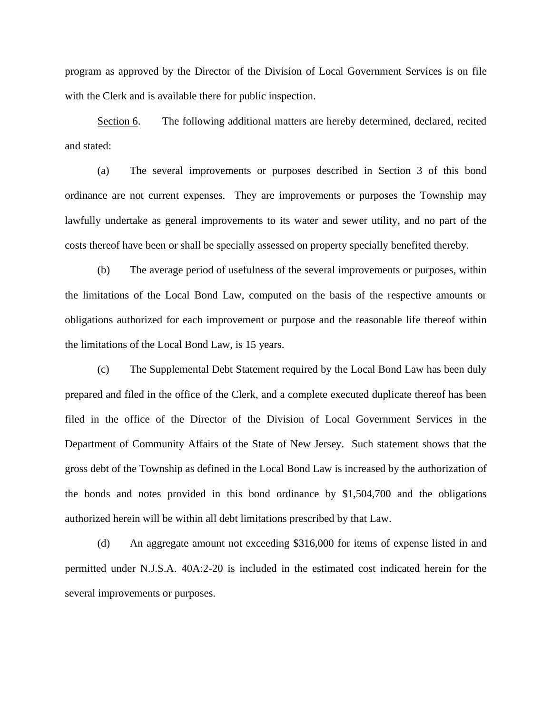program as approved by the Director of the Division of Local Government Services is on file with the Clerk and is available there for public inspection.

Section 6. The following additional matters are hereby determined, declared, recited and stated:

(a) The several improvements or purposes described in Section 3 of this bond ordinance are not current expenses. They are improvements or purposes the Township may lawfully undertake as general improvements to its water and sewer utility, and no part of the costs thereof have been or shall be specially assessed on property specially benefited thereby.

(b) The average period of usefulness of the several improvements or purposes, within the limitations of the Local Bond Law, computed on the basis of the respective amounts or obligations authorized for each improvement or purpose and the reasonable life thereof within the limitations of the Local Bond Law, is 15 years.

(c) The Supplemental Debt Statement required by the Local Bond Law has been duly prepared and filed in the office of the Clerk, and a complete executed duplicate thereof has been filed in the office of the Director of the Division of Local Government Services in the Department of Community Affairs of the State of New Jersey. Such statement shows that the gross debt of the Township as defined in the Local Bond Law is increased by the authorization of the bonds and notes provided in this bond ordinance by \$1,504,700 and the obligations authorized herein will be within all debt limitations prescribed by that Law.

(d) An aggregate amount not exceeding \$316,000 for items of expense listed in and permitted under N.J.S.A. 40A:2-20 is included in the estimated cost indicated herein for the several improvements or purposes.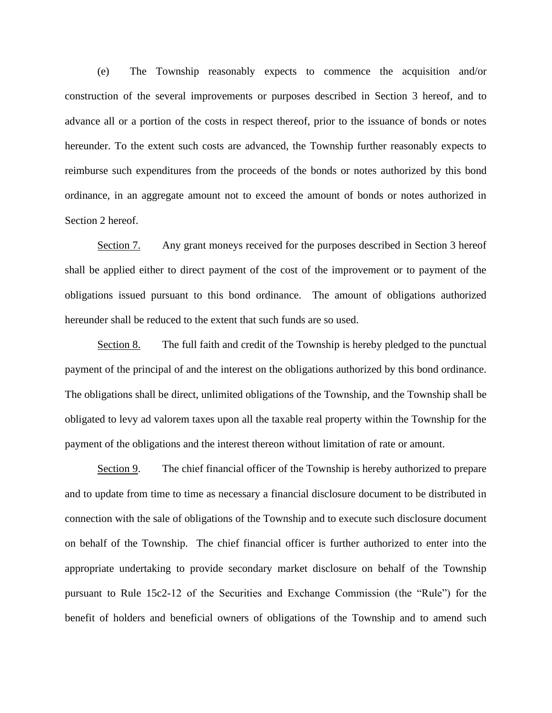(e) The Township reasonably expects to commence the acquisition and/or construction of the several improvements or purposes described in Section 3 hereof, and to advance all or a portion of the costs in respect thereof, prior to the issuance of bonds or notes hereunder. To the extent such costs are advanced, the Township further reasonably expects to reimburse such expenditures from the proceeds of the bonds or notes authorized by this bond ordinance, in an aggregate amount not to exceed the amount of bonds or notes authorized in Section 2 hereof.

Section 7. Any grant moneys received for the purposes described in Section 3 hereof shall be applied either to direct payment of the cost of the improvement or to payment of the obligations issued pursuant to this bond ordinance. The amount of obligations authorized hereunder shall be reduced to the extent that such funds are so used.

Section 8. The full faith and credit of the Township is hereby pledged to the punctual payment of the principal of and the interest on the obligations authorized by this bond ordinance. The obligations shall be direct, unlimited obligations of the Township, and the Township shall be obligated to levy ad valorem taxes upon all the taxable real property within the Township for the payment of the obligations and the interest thereon without limitation of rate or amount.

Section 9. The chief financial officer of the Township is hereby authorized to prepare and to update from time to time as necessary a financial disclosure document to be distributed in connection with the sale of obligations of the Township and to execute such disclosure document on behalf of the Township. The chief financial officer is further authorized to enter into the appropriate undertaking to provide secondary market disclosure on behalf of the Township pursuant to Rule 15c2-12 of the Securities and Exchange Commission (the "Rule") for the benefit of holders and beneficial owners of obligations of the Township and to amend such